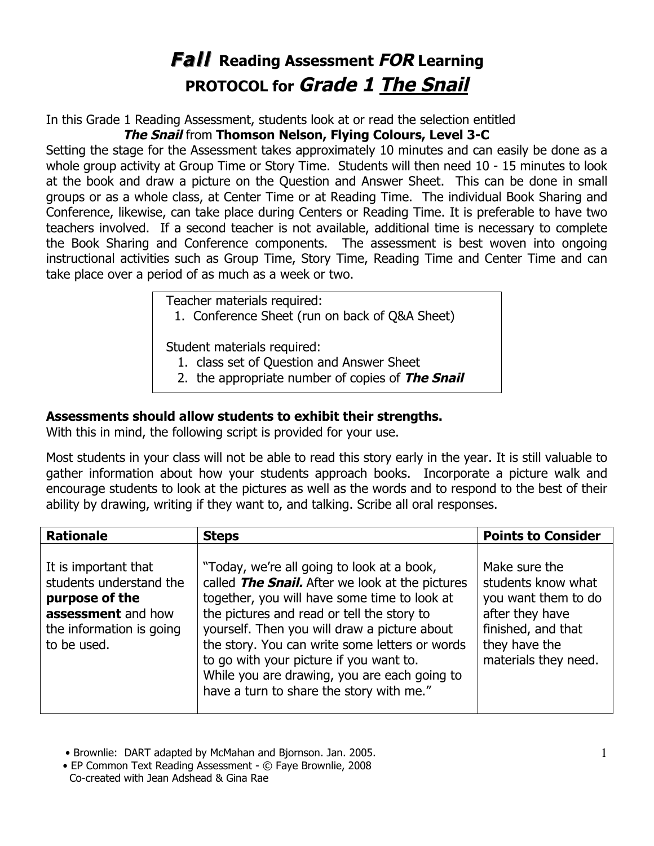## **Fall Reading Assessment FOR Learning PROTOCOL for Grade 1 The Snail**

In this Grade 1 Reading Assessment, students look at or read the selection entitled

## **The Snail** from **Thomson Nelson, Flying Colours, Level 3-C**

Setting the stage for the Assessment takes approximately 10 minutes and can easily be done as a whole group activity at Group Time or Story Time. Students will then need 10 - 15 minutes to look at the book and draw a picture on the Question and Answer Sheet. This can be done in small groups or as a whole class, at Center Time or at Reading Time. The individual Book Sharing and Conference, likewise, can take place during Centers or Reading Time. It is preferable to have two teachers involved. If a second teacher is not available, additional time is necessary to complete the Book Sharing and Conference components. The assessment is best woven into ongoing instructional activities such as Group Time, Story Time, Reading Time and Center Time and can take place over a period of as much as a week or two.

Teacher materials required:

1. Conference Sheet (run on back of Q&A Sheet)

Student materials required:

- 1. class set of Question and Answer Sheet
- 2. the appropriate number of copies of **The Snail**

## **Assessments should allow students to exhibit their strengths.**

With this in mind, the following script is provided for your use.

Most students in your class will not be able to read this story early in the year. It is still valuable to gather information about how your students approach books. Incorporate a picture walk and encourage students to look at the pictures as well as the words and to respond to the best of their ability by drawing, writing if they want to, and talking. Scribe all oral responses.

| <b>Rationale</b>                                                                                                                   | <b>Steps</b>                                                                                                                                                                                                                                                                                                                                                                                                                         | <b>Points to Consider</b>                                                                                                                    |
|------------------------------------------------------------------------------------------------------------------------------------|--------------------------------------------------------------------------------------------------------------------------------------------------------------------------------------------------------------------------------------------------------------------------------------------------------------------------------------------------------------------------------------------------------------------------------------|----------------------------------------------------------------------------------------------------------------------------------------------|
| It is important that<br>students understand the<br>purpose of the<br>assessment and how<br>the information is going<br>to be used. | "Today, we're all going to look at a book,<br>called The Snail. After we look at the pictures<br>together, you will have some time to look at<br>the pictures and read or tell the story to<br>yourself. Then you will draw a picture about<br>the story. You can write some letters or words<br>to go with your picture if you want to.<br>While you are drawing, you are each going to<br>have a turn to share the story with me." | Make sure the<br>students know what<br>you want them to do<br>after they have<br>finished, and that<br>they have the<br>materials they need. |

• Brownlie: DART adapted by McMahan and Bjornson. Jan. 2005.

 • EP Common Text Reading Assessment - © Faye Brownlie, 2008 Co-created with Jean Adshead & Gina Rae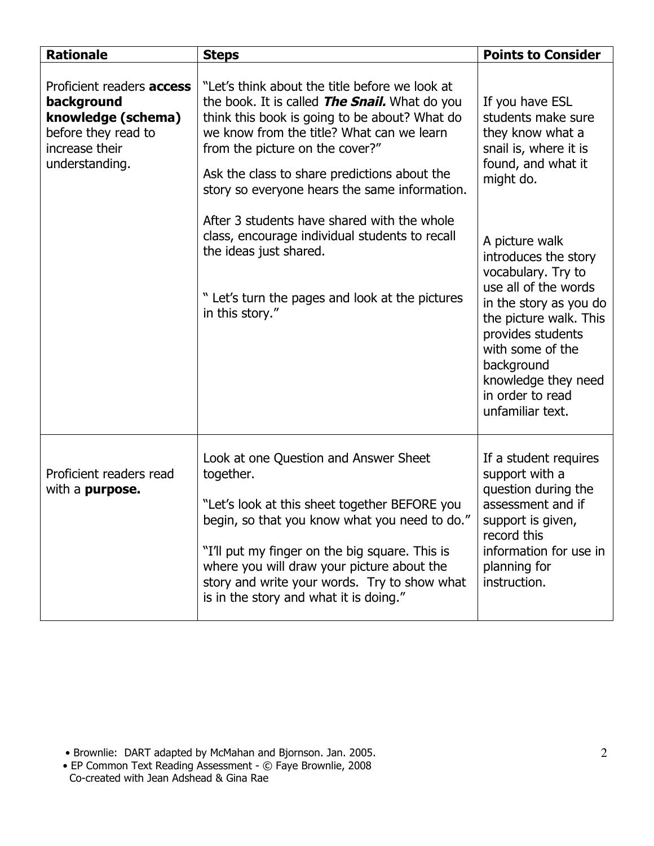| <b>Rationale</b>                                                                                                                | <b>Steps</b>                                                                                                                                                                                                                                                                                                                                   | <b>Points to Consider</b>                                                                                                                                                                                                                                      |
|---------------------------------------------------------------------------------------------------------------------------------|------------------------------------------------------------------------------------------------------------------------------------------------------------------------------------------------------------------------------------------------------------------------------------------------------------------------------------------------|----------------------------------------------------------------------------------------------------------------------------------------------------------------------------------------------------------------------------------------------------------------|
| Proficient readers <b>access</b><br>background<br>knowledge (schema)<br>before they read to<br>increase their<br>understanding. | "Let's think about the title before we look at<br>the book. It is called The Snail. What do you<br>think this book is going to be about? What do<br>we know from the title? What can we learn<br>from the picture on the cover?"<br>Ask the class to share predictions about the<br>story so everyone hears the same information.              | If you have ESL<br>students make sure<br>they know what a<br>snail is, where it is<br>found, and what it<br>might do.                                                                                                                                          |
|                                                                                                                                 | After 3 students have shared with the whole<br>class, encourage individual students to recall<br>the ideas just shared.<br>" Let's turn the pages and look at the pictures<br>in this story."                                                                                                                                                  | A picture walk<br>introduces the story<br>vocabulary. Try to<br>use all of the words<br>in the story as you do<br>the picture walk. This<br>provides students<br>with some of the<br>background<br>knowledge they need<br>in order to read<br>unfamiliar text. |
| Proficient readers read<br>with a <b>purpose.</b>                                                                               | Look at one Question and Answer Sheet<br>together.<br>"Let's look at this sheet together BEFORE you<br>begin, so that you know what you need to do."<br>"I'll put my finger on the big square. This is<br>where you will draw your picture about the<br>story and write your words. Try to show what<br>is in the story and what it is doing." | If a student requires<br>support with a<br>question during the<br>assessment and if<br>support is given,<br>record this<br>information for use in<br>planning for<br>instruction.                                                                              |

• Brownlie: DART adapted by McMahan and Bjornson. Jan. 2005.

 • EP Common Text Reading Assessment - © Faye Brownlie, 2008 Co-created with Jean Adshead & Gina Rae